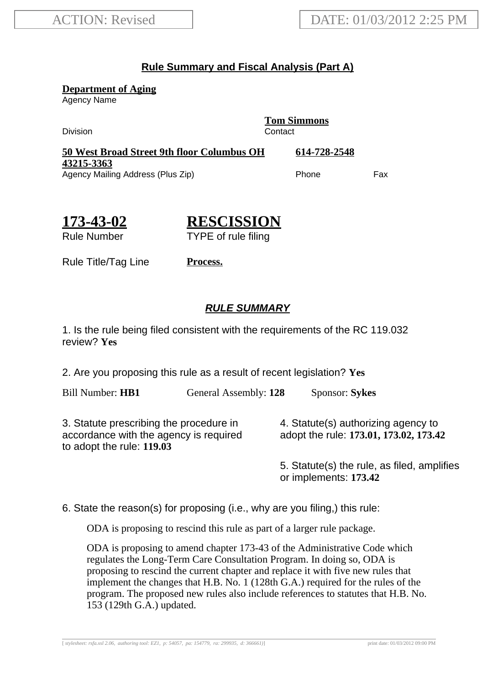## **Rule Summary and Fiscal Analysis (Part A)**

**Department of Aging**

Agency Name

Division Contact

**Tom Simmons**

**50 West Broad Street 9th floor Columbus OH 43215-3363 614-728-2548** Agency Mailing Address (Plus Zip) example and the Phone Fax

**173-43-02**

**RESCISSION** TYPE of rule filing

Rule Number

Rule Title/Tag Line **Process.**

## **RULE SUMMARY**

1. Is the rule being filed consistent with the requirements of the RC 119.032 review? **Yes**

2. Are you proposing this rule as a result of recent legislation? **Yes**

Bill Number: **HB1** General Assembly: **128** Sponsor: **Sykes**

3. Statute prescribing the procedure in accordance with the agency is required to adopt the rule: **119.03**

4. Statute(s) authorizing agency to adopt the rule: **173.01, 173.02, 173.42**

5. Statute(s) the rule, as filed, amplifies or implements: **173.42**

6. State the reason(s) for proposing (i.e., why are you filing,) this rule:

ODA is proposing to rescind this rule as part of a larger rule package.

ODA is proposing to amend chapter 173-43 of the Administrative Code which regulates the Long-Term Care Consultation Program. In doing so, ODA is proposing to rescind the current chapter and replace it with five new rules that implement the changes that H.B. No. 1 (128th G.A.) required for the rules of the program. The proposed new rules also include references to statutes that H.B. No. 153 (129th G.A.) updated.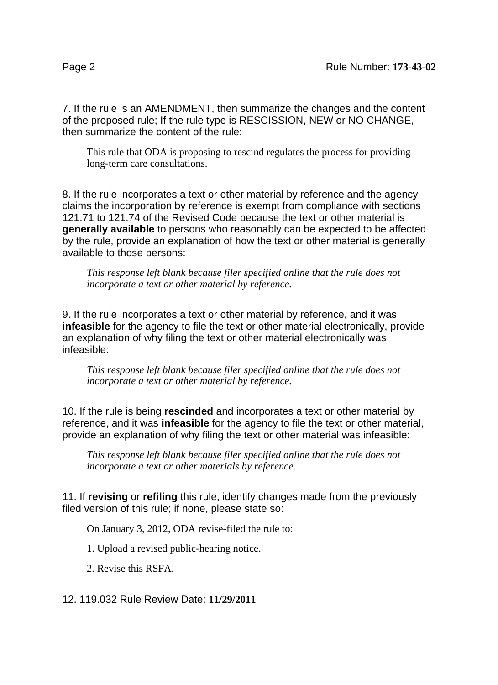7. If the rule is an AMENDMENT, then summarize the changes and the content of the proposed rule; If the rule type is RESCISSION, NEW or NO CHANGE, then summarize the content of the rule:

This rule that ODA is proposing to rescind regulates the process for providing long-term care consultations.

8. If the rule incorporates a text or other material by reference and the agency claims the incorporation by reference is exempt from compliance with sections 121.71 to 121.74 of the Revised Code because the text or other material is **generally available** to persons who reasonably can be expected to be affected by the rule, provide an explanation of how the text or other material is generally available to those persons:

*This response left blank because filer specified online that the rule does not incorporate a text or other material by reference.*

9. If the rule incorporates a text or other material by reference, and it was **infeasible** for the agency to file the text or other material electronically, provide an explanation of why filing the text or other material electronically was infeasible:

*This response left blank because filer specified online that the rule does not incorporate a text or other material by reference.*

10. If the rule is being **rescinded** and incorporates a text or other material by reference, and it was **infeasible** for the agency to file the text or other material, provide an explanation of why filing the text or other material was infeasible:

*This response left blank because filer specified online that the rule does not incorporate a text or other materials by reference.*

11. If **revising** or **refiling** this rule, identify changes made from the previously filed version of this rule; if none, please state so:

On January 3, 2012, ODA revise-filed the rule to:

1. Upload a revised public-hearing notice.

2. Revise this RSFA.

12. 119.032 Rule Review Date: **11/29/2011**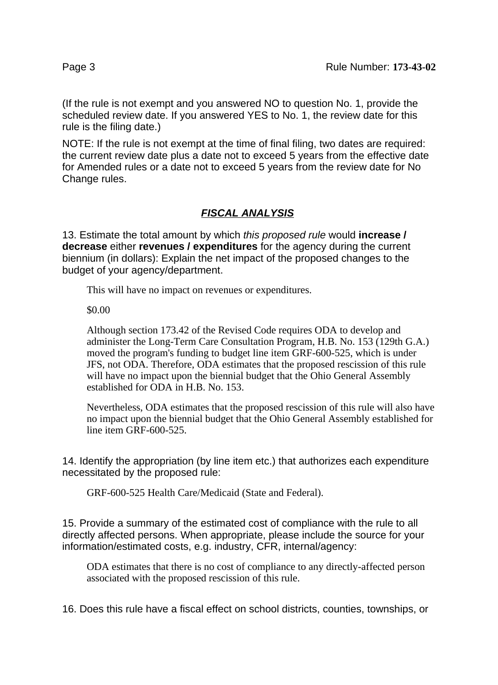(If the rule is not exempt and you answered NO to question No. 1, provide the scheduled review date. If you answered YES to No. 1, the review date for this rule is the filing date.)

NOTE: If the rule is not exempt at the time of final filing, two dates are required: the current review date plus a date not to exceed 5 years from the effective date for Amended rules or a date not to exceed 5 years from the review date for No Change rules.

## **FISCAL ANALYSIS**

13. Estimate the total amount by which this proposed rule would **increase / decrease** either **revenues / expenditures** for the agency during the current biennium (in dollars): Explain the net impact of the proposed changes to the budget of your agency/department.

This will have no impact on revenues or expenditures.

\$0.00

Although section 173.42 of the Revised Code requires ODA to develop and administer the Long-Term Care Consultation Program, H.B. No. 153 (129th G.A.) moved the program's funding to budget line item GRF-600-525, which is under JFS, not ODA. Therefore, ODA estimates that the proposed rescission of this rule will have no impact upon the biennial budget that the Ohio General Assembly established for ODA in H.B. No. 153.

Nevertheless, ODA estimates that the proposed rescission of this rule will also have no impact upon the biennial budget that the Ohio General Assembly established for line item GRF-600-525.

14. Identify the appropriation (by line item etc.) that authorizes each expenditure necessitated by the proposed rule:

GRF-600-525 Health Care/Medicaid (State and Federal).

15. Provide a summary of the estimated cost of compliance with the rule to all directly affected persons. When appropriate, please include the source for your information/estimated costs, e.g. industry, CFR, internal/agency:

ODA estimates that there is no cost of compliance to any directly-affected person associated with the proposed rescission of this rule.

16. Does this rule have a fiscal effect on school districts, counties, townships, or